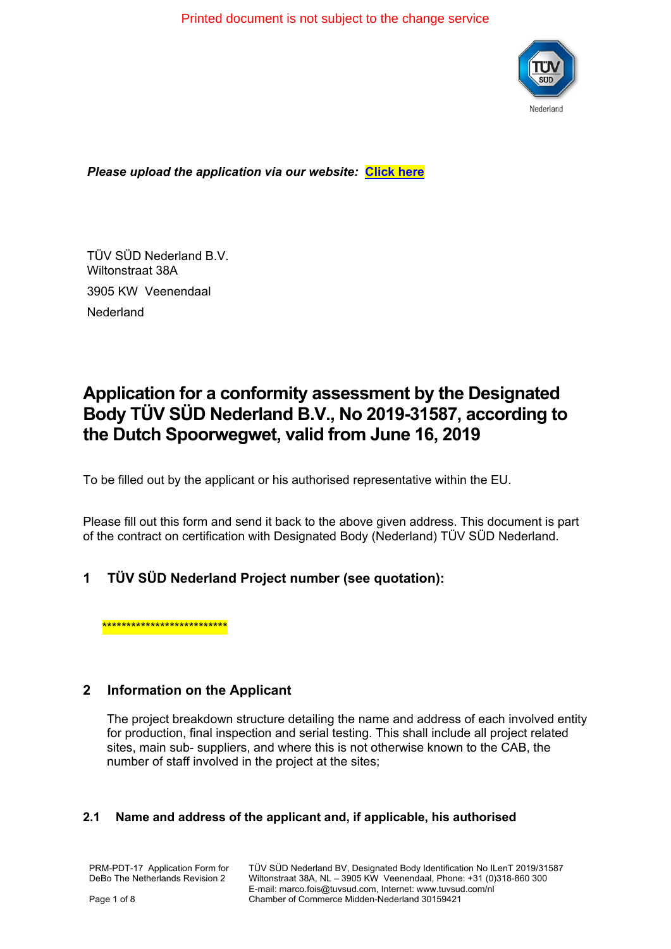Printed document is not subject to the change service



#### *Please upload the application via our website:* **[Click here](https://www.tuvsud.com/en-gb/country/netherlands/application-forms)**

TÜV SÜD Nederland B.V. Wiltonstraat 38A 3905 KW Veenendaal Nederland

# **Application for a conformity assessment by the Designated Body TÜV SÜD Nederland B.V., No 2019-31587, according to the Dutch Spoorwegwet, valid from June 16, 2019**

To be filled out by the applicant or his authorised representative within the EU.

Please fill out this form and send it back to the above given address. This document is part of the contract on certification with Designated Body (Nederland) TÜV SÜD Nederland.

# **1 TÜV SÜD Nederland Project number (see quotation):**

\*\*\*\*\*\*\*\*\*\*\*\*\*\*\*\*\*\*\*\*\*\*\*\*

#### **2 Information on the Applicant**

The project breakdown structure detailing the name and address of each involved entity for production, final inspection and serial testing. This shall include all project related sites, main sub- suppliers, and where this is not otherwise known to the CAB, the number of staff involved in the project at the sites;

#### **2.1 Name and address of the applicant and, if applicable, his authorised**

PRM-PDT-17 Application Form for DeBo The Netherlands Revision 2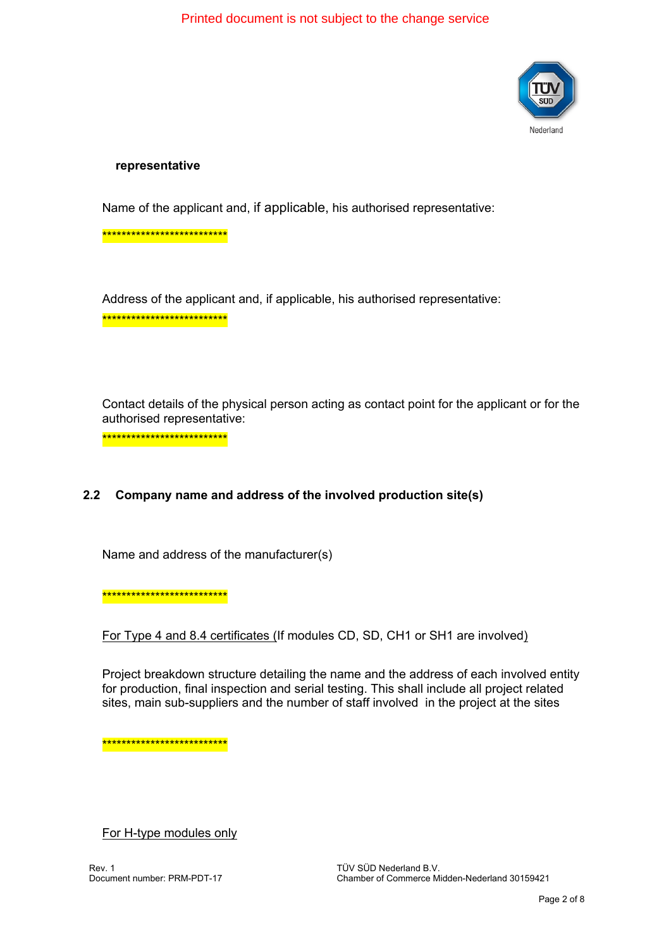$D \rightarrow \infty$   $\partial \mathbf{A}$   $\partial \mathbf{B}$   $\partial \mathbf{C}$   $\partial \mathbf{A}$  is  $\partial \mathbf{A}$  and  $\partial \mathbf{C}$  the change  $\partial \mathbf{A}$   $\partial \mathbf{A}$ 



#### **representative**

Name of the applicant and, if applicable, his authorised representative:

\*\*\*\*\*\*\*\*\*\*\*\*\*\*\*\*\*\*\*\*\*\*\*\*\*\*

Address of the applicant and, if applicable, his authorised representative: \*\*\*\*\*\*\*\*\*\*\*\*\*\*\*\*\*\*\*\*\*\*\*\*\*\*

Contact details of the physical person acting as contact point for the applicant or for the authorised representative:

\*\*\*\*\*\*\*\*\*\*\*\*\*\*\*\*\*\*\*\*\*\*\*\*\*\*

#### **2.2 Company name and address of the involved production site(s)**

Name and address of the manufacturer(s)

\*\*\*\*\*\*\*\*\*\*\*\*\*\*\*\*\*\*\*\*\*\*\*\*\*\*

For Type 4 and 8.4 certificates (If modules CD, SD, CH1 or SH1 are involved)

Project breakdown structure detailing the name and the address of each involved entity for production, final inspection and serial testing. This shall include all project related sites, main sub-suppliers and the number of staff involved in the project at the sites

\*\*\*\*\*\*\*\*\*\*\*\*\*\*\*\*\*\*\*\*\*\*\*\*\*\*

For H-type modules only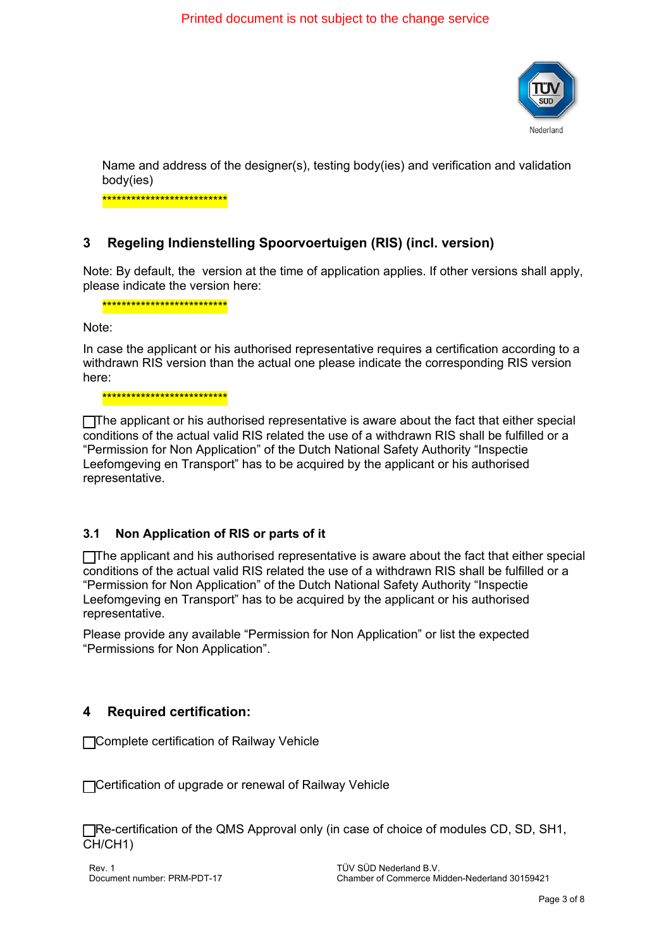Printed document is not subject to the change service



Name and address of the designer(s), testing body(ies) and verification and validation body(ies)

\*\*\*\*\*\*\*\*\*\*\*\*\*\*\*\*\*\*\*\*\*\*\*\*\*\*

### **3 Regeling Indienstelling Spoorvoertuigen (RIS) (incl. version)**

Note: By default, the version at the time of application applies. If other versions shall apply, please indicate the version here:

\*\*\*\*\*\*\*\*\*\*\*\*\*\*\*\*\*\*\*\*\*\*\*\*\*\*

Note:

In case the applicant or his authorised representative requires a certification according to a withdrawn RIS version than the actual one please indicate the corresponding RIS version here:

\*\*\*\*\*\*\*\*\*\*\*\*\*\*\*\*\*\*\*\*\*\*\*\*\*\*

The applicant or his authorised representative is aware about the fact that either special conditions of the actual valid RIS related the use of a withdrawn RIS shall be fulfilled or a "Permission for Non Application" of the Dutch National Safety Authority "Inspectie Leefomgeving en Transport" has to be acquired by the applicant or his authorised representative.

#### **3.1 Non Application of RIS or parts of it**

The applicant and his authorised representative is aware about the fact that either special conditions of the actual valid RIS related the use of a withdrawn RIS shall be fulfilled or a "Permission for Non Application" of the Dutch National Safety Authority "Inspectie Leefomgeving en Transport" has to be acquired by the applicant or his authorised representative.

Please provide any available "Permission for Non Application" or list the expected "Permissions for Non Application".

#### **4 Required certification:**

Complete certification of Railway Vehicle

Certification of upgrade or renewal of Railway Vehicle

**FRe-certification of the QMS Approval only (in case of choice of modules CD, SD, SH1,** CH/CH1)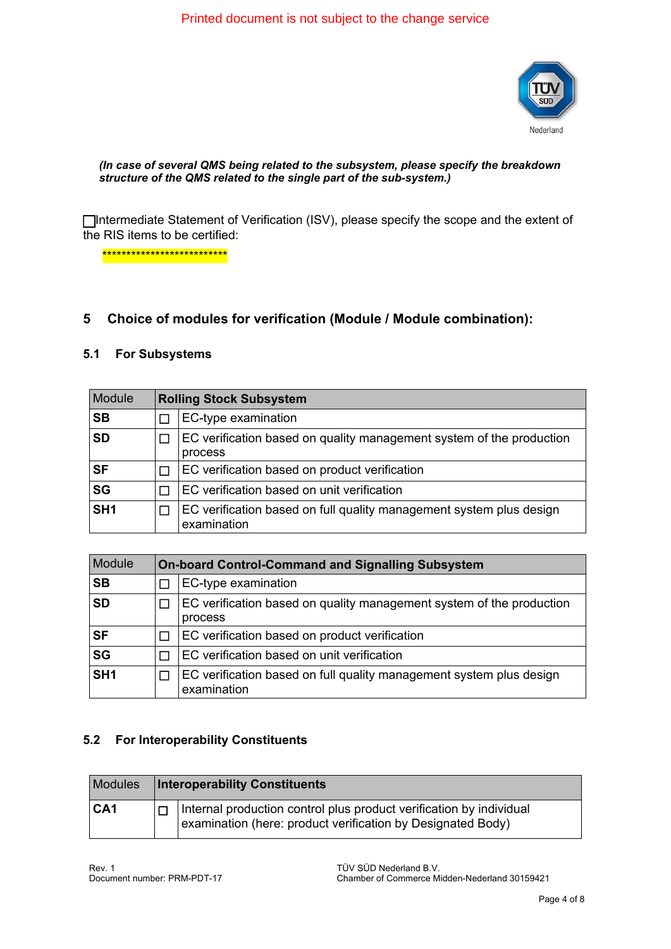# $\dot{U}$  a c a  $\dot{A}$   $\dot{B}$   $8$  ( $\land$   $\gamma$  of  $\dot{A}$   $I$  of  $\dot{A}$  and  $\dot{C}$  above  $\dot{A}$   $\dot{C}$   $\dot{C}$   $\dot{C}$   $\dot{C}$   $\dot{C}$   $\dot{C}$   $\dot{C}$   $\dot{C}$   $\dot{C}$   $\dot{C}$   $\dot{C}$   $\dot{C}$   $\dot{C}$   $\dot{C}$   $\dot{C}$   $\dot{$



#### *(In case of several QMS being related to the subsystem, please specify the breakdown structure of the QMS related to the single part of the sub-system.)*

Intermediate Statement of Verification (ISV), please specify the scope and the extent of the RIS items to be certified:

\*\*\*\*\*\*\*\*\*\*\*\*\*\*\*\*\*\*\*\*\*\*\*\*\*\*

#### **5 Choice of modules for verification (Module / Module combination):**

#### **5.1 For Subsystems**

| <b>Module</b>   | <b>Rolling Stock Subsystem</b>                                                     |  |
|-----------------|------------------------------------------------------------------------------------|--|
| <b>SB</b>       | EC-type examination                                                                |  |
| <b>SD</b>       | EC verification based on quality management system of the production<br>process    |  |
| <b>SF</b>       | EC verification based on product verification                                      |  |
| <b>SG</b>       | EC verification based on unit verification                                         |  |
| SH <sub>1</sub> | EC verification based on full quality management system plus design<br>examination |  |

| <b>Module</b>   |   | <b>On-board Control-Command and Signalling Subsystem</b>                           |  |
|-----------------|---|------------------------------------------------------------------------------------|--|
| <b>SB</b>       |   | EC-type examination                                                                |  |
| <b>SD</b>       |   | EC verification based on quality management system of the production<br>process    |  |
| <b>SF</b>       | П | EC verification based on product verification                                      |  |
| <b>SG</b>       |   | EC verification based on unit verification                                         |  |
| SH <sub>1</sub> |   | EC verification based on full quality management system plus design<br>examination |  |

#### **5.2 For Interoperability Constituents**

| <b>Modules</b>  | <b>Interoperability Constituents</b>                                                                                                      |  |
|-----------------|-------------------------------------------------------------------------------------------------------------------------------------------|--|
| CA <sub>1</sub> | $\Box$ Internal production control plus product verification by individual<br>examination (here: product verification by Designated Body) |  |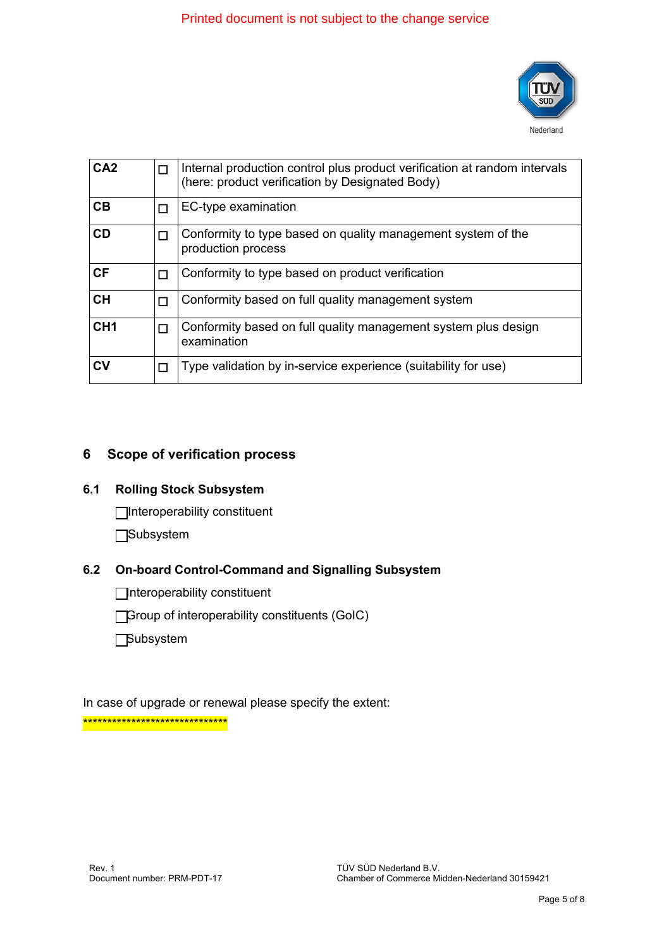# $\dot{U}$  a c a  $\hat{A}$   $S$  {  $\wedge$  }  $\dot{\alpha}$   $\hat{A}$   $I$   $\dot{\alpha}$   $\hat{A}$  a to  $\dot{\alpha}$   $\dot{\alpha}$   $\dot{\alpha}$   $\dot{\alpha}$   $\dot{\alpha}$   $\dot{\alpha}$   $\dot{\alpha}$   $\dot{\alpha}$   $\dot{\alpha}$   $\dot{\alpha}$   $\dot{\alpha}$   $\dot{\alpha}$   $\dot{\alpha}$   $\dot{\alpha}$   $\dot{\alpha}$   $\dot{\alpha}$   $\dot{\alpha}$   $\dot{\alpha}$



| CA <sub>2</sub> | П | Internal production control plus product verification at random intervals<br>(here: product verification by Designated Body) |
|-----------------|---|------------------------------------------------------------------------------------------------------------------------------|
| CB              | П | EC-type examination                                                                                                          |
| <b>CD</b>       | П | Conformity to type based on quality management system of the<br>production process                                           |
| <b>CF</b>       |   | Conformity to type based on product verification                                                                             |
| <b>CH</b>       | П | Conformity based on full quality management system                                                                           |
| CH <sub>1</sub> |   | Conformity based on full quality management system plus design<br>examination                                                |
| CV              | П | Type validation by in-service experience (suitability for use)                                                               |

### **6 Scope of verification process**

#### **6.1 Rolling Stock Subsystem**

Interoperability constituent

**□Subsystem** 

#### **6.2 On-board Control-Command and Signalling Subsystem**

Interoperability constituent

Group of interoperability constituents (GoIC)

**Subsystem** 

In case of upgrade or renewal please specify the extent: \*\*\*\*\*\*\*\*\*\*\*\*\*\*\*\*\*\*\*\*\*\*\*\*\*\*\*\*\*\*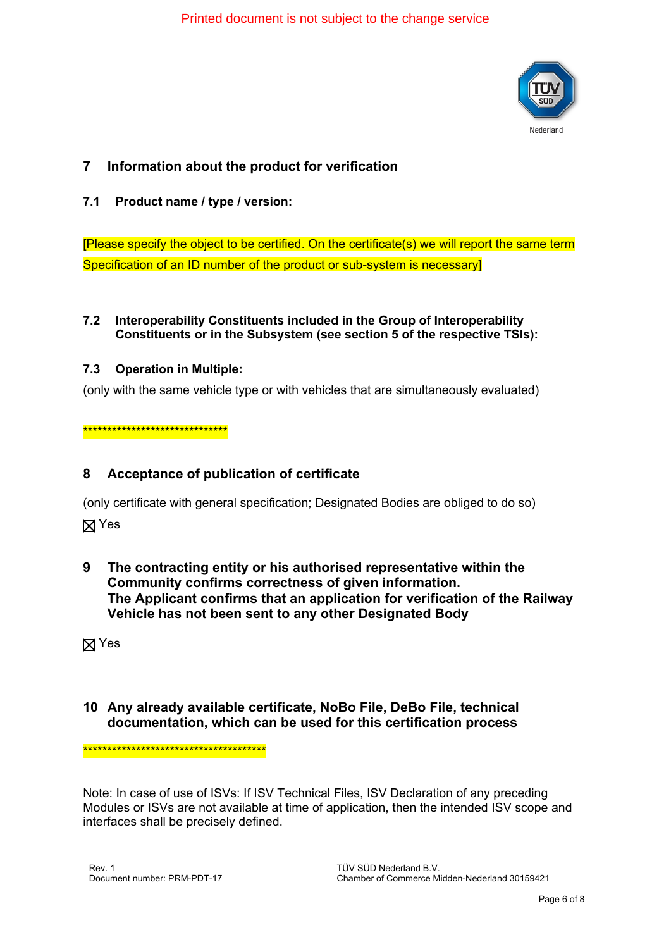$D \rightarrow \infty$   $\partial \mathbf{A}$   $\partial \mathbf{B}$   $\partial \mathbf{C}$   $\partial \mathbf{A}$  is  $\partial \mathbf{A}$  and  $\partial \mathbf{C}$  the change  $\partial \mathbf{A}$   $\partial \mathbf{A}$ 



# **7 Information about the product for verification**

#### **7.1 Product name / type / version:**

[Please specify the object to be certified. On the certificate(s) we will report the same term Specification of an ID number of the product or sub-system is necessary]

#### **7.2 Interoperability Constituents included in the Group of Interoperability Constituents or in the Subsystem (see section 5 of the respective TSIs):**

#### **7.3 Operation in Multiple:**

(only with the same vehicle type or with vehicles that are simultaneously evaluated)

\*\*\*\*\*\*\*\*\*\*\*\*\*\*\*\*\*\*\*\*\*\*\*\*\*\*\*\*\*\*

### **8 Acceptance of publication of certificate**

(only certificate with general specification; Designated Bodies are obliged to do so)

**X** Yes

**9 The contracting entity or his authorised representative within the Community confirms correctness of given information. The Applicant confirms that an application for verification of the Railway Vehicle has not been sent to any other Designated Body**

**X** Yes

### **10 Any already available certificate, NoBo File, DeBo File, technical documentation, which can be used for this certification process**

\*\*\*\*\*\*\*\*\*\*\*\*\*\*\*\*\*\*\*\*\*\*\*\*\*\*\*\*\*\*\*\*\*\*\*\*\*\*

Note: In case of use of ISVs: If ISV Technical Files, ISV Declaration of any preceding Modules or ISVs are not available at time of application, then the intended ISV scope and interfaces shall be precisely defined.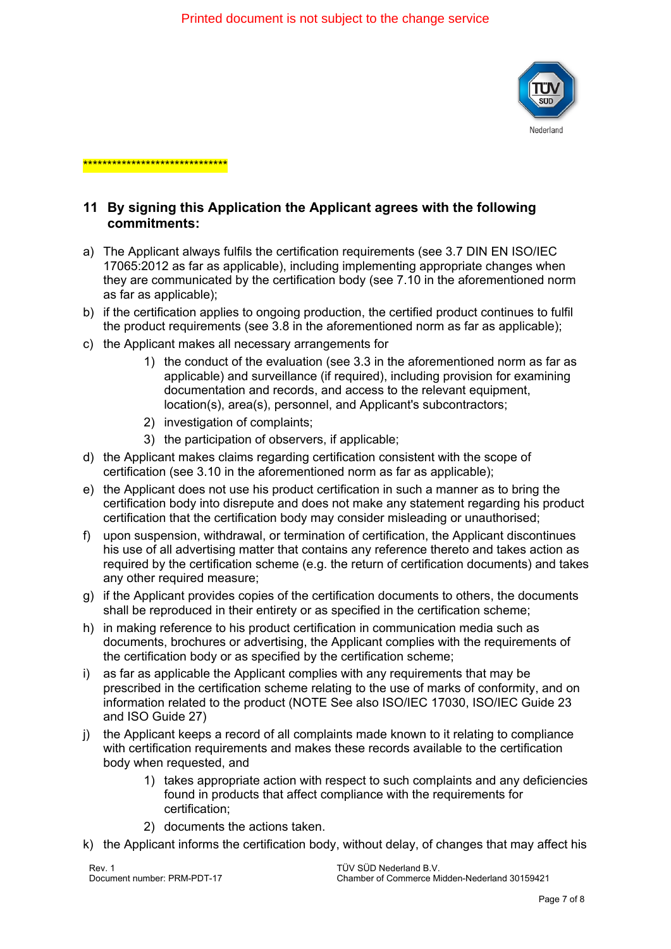

# **11 By signing this Application the Applicant agrees with the following commitments:**

- a) The Applicant always fulfils the certification requirements (see 3.7 DIN EN ISO/IEC 17065:2012 as far as applicable), including implementing appropriate changes when they are communicated by the certification body (see 7.10 in the aforementioned norm as far as applicable);
- b) if the certification applies to ongoing production, the certified product continues to fulfil the product requirements (see 3.8 in the aforementioned norm as far as applicable);
- c) the Applicant makes all necessary arrangements for

\*\*\*\*\*\*\*\*\*\*\*\*\*\*\*\*\*\*\*\*\*\*\*\*\*\*\*\*\*\*\*\*\*\*\*

- 1) the conduct of the evaluation (see 3.3 in the aforementioned norm as far as applicable) and surveillance (if required), including provision for examining documentation and records, and access to the relevant equipment, location(s), area(s), personnel, and Applicant's subcontractors;
- 2) investigation of complaints;
- 3) the participation of observers, if applicable;
- d) the Applicant makes claims regarding certification consistent with the scope of certification (see 3.10 in the aforementioned norm as far as applicable);
- e) the Applicant does not use his product certification in such a manner as to bring the certification body into disrepute and does not make any statement regarding his product certification that the certification body may consider misleading or unauthorised;
- f) upon suspension, withdrawal, or termination of certification, the Applicant discontinues his use of all advertising matter that contains any reference thereto and takes action as required by the certification scheme (e.g. the return of certification documents) and takes any other required measure;
- g) if the Applicant provides copies of the certification documents to others, the documents shall be reproduced in their entirety or as specified in the certification scheme;
- h) in making reference to his product certification in communication media such as documents, brochures or advertising, the Applicant complies with the requirements of the certification body or as specified by the certification scheme;
- i) as far as applicable the Applicant complies with any requirements that may be prescribed in the certification scheme relating to the use of marks of conformity, and on information related to the product (NOTE See also ISO/IEC 17030, ISO/IEC Guide 23 and ISO Guide 27)
- j) the Applicant keeps a record of all complaints made known to it relating to compliance with certification requirements and makes these records available to the certification body when requested, and
	- 1) takes appropriate action with respect to such complaints and any deficiencies found in products that affect compliance with the requirements for certification;
	- 2) documents the actions taken.
- k) the Applicant informs the certification body, without delay, of changes that may affect his